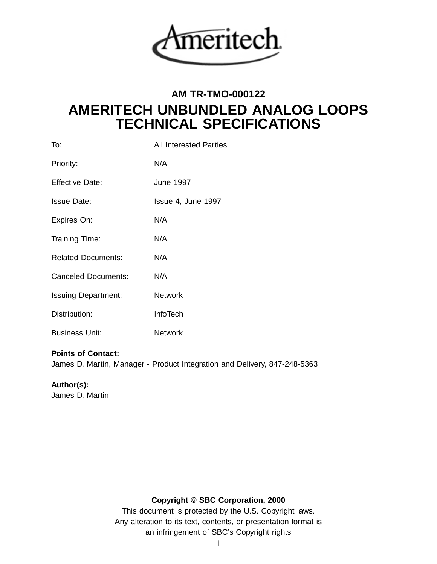

# **AM TR-TMO-000122 AMERITECH UNBUNDLED ANALOG LOOPS TECHNICAL SPECIFICATIONS**

| <b>All Interested Parties</b> |
|-------------------------------|
| N/A                           |
| <b>June 1997</b>              |
| Issue 4, June 1997            |
| N/A                           |
| N/A                           |
| N/A                           |
| N/A                           |
| <b>Network</b>                |
| <b>InfoTech</b>               |
| <b>Network</b>                |
|                               |

# **Points of Contact:**

James D. Martin, Manager - Product Integration and Delivery, 847-248-5363

# **Author(s):**

James D. Martin

# **Copyright © SBC Corporation, 2000**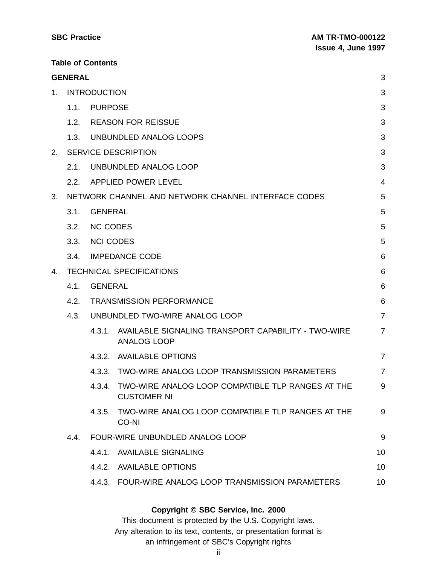| <b>SBC Practice</b> | <b>AM TR-TMO-000122</b>   |
|---------------------|---------------------------|
|                     | <b>Issue 4, June 1997</b> |

| <b>SBC Practice</b> |
|---------------------|
|                     |

**Table of Contents**

|    | <b>GENERAL</b> |                     |                                                                                | 3              |
|----|----------------|---------------------|--------------------------------------------------------------------------------|----------------|
| 1. |                | <b>INTRODUCTION</b> |                                                                                | 3              |
|    | 1.1.           | <b>PURPOSE</b>      |                                                                                | 3              |
|    | 1.2.           |                     | <b>REASON FOR REISSUE</b>                                                      | 3              |
|    | 1.3.           |                     | UNBUNDLED ANALOG LOOPS                                                         | 3              |
| 2. |                |                     | <b>SERVICE DESCRIPTION</b>                                                     | 3              |
|    | 2.1.           |                     | UNBUNDLED ANALOG LOOP                                                          | 3              |
|    | 2.2.           |                     | <b>APPLIED POWER LEVEL</b>                                                     | 4              |
| 3. |                |                     | NETWORK CHANNEL AND NETWORK CHANNEL INTERFACE CODES                            | 5              |
|    | 3.1.           | <b>GENERAL</b>      |                                                                                | 5              |
|    | 3.2.           | <b>NC CODES</b>     |                                                                                | 5              |
|    | 3.3.           | <b>NCI CODES</b>    |                                                                                | 5              |
|    | 3.4.           |                     | <b>IMPEDANCE CODE</b>                                                          | 6              |
| 4. |                |                     | <b>TECHNICAL SPECIFICATIONS</b>                                                | 6              |
|    | 4.1.           | <b>GENERAL</b>      |                                                                                | 6              |
|    | 4.2.           |                     | <b>TRANSMISSION PERFORMANCE</b>                                                | $6\phantom{1}$ |
|    | 4.3.           |                     | UNBUNDLED TWO-WIRE ANALOG LOOP                                                 | $\overline{7}$ |
|    |                | 4.3.1.              | AVAILABLE SIGNALING TRANSPORT CAPABILITY - TWO-WIRE<br><b>ANALOG LOOP</b>      | $\overline{7}$ |
|    |                | 4.3.2.              | <b>AVAILABLE OPTIONS</b>                                                       | $\overline{7}$ |
|    |                | 4.3.3.              | TWO-WIRE ANALOG LOOP TRANSMISSION PARAMETERS                                   | 7              |
|    |                |                     | 4.3.4. TWO-WIRE ANALOG LOOP COMPATIBLE TLP RANGES AT THE<br><b>CUSTOMER NI</b> | 9              |
|    |                |                     | 4.3.5. TWO-WIRE ANALOG LOOP COMPATIBLE TLP RANGES AT THE<br>CO-NI              | 9              |
|    | 4.4.           |                     | FOUR-WIRE UNBUNDLED ANALOG LOOP                                                | 9              |
|    |                |                     | 4.4.1. AVAILABLE SIGNALING                                                     | 10             |
|    |                |                     | 4.4.2. AVAILABLE OPTIONS                                                       | 10             |
|    |                |                     | 4.4.3. FOUR-WIRE ANALOG LOOP TRANSMISSION PARAMETERS                           | 10             |
|    |                |                     |                                                                                |                |

# **Copyright © SBC Service, Inc. 2000**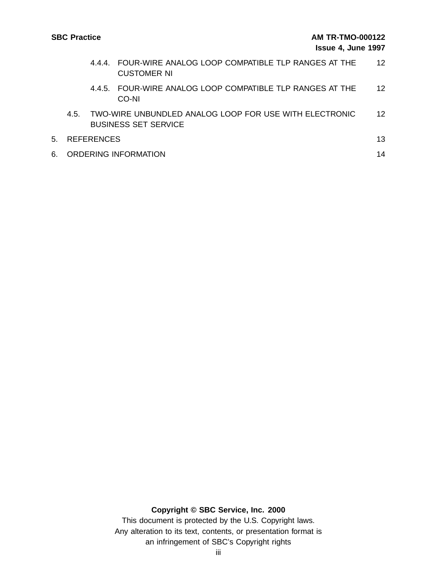|    |     |               | 4.4.4. FOUR-WIRE ANALOG LOOP COMPATIBLE TLP RANGES AT THE<br><b>CUSTOMER NI</b>       | 12                |
|----|-----|---------------|---------------------------------------------------------------------------------------|-------------------|
|    |     |               | 4.4.5. FOUR-WIRE ANALOG LOOP COMPATIBLE TLP RANGES AT THE<br>CO-NI                    | $12 \overline{ }$ |
|    | 4.5 |               | TWO-WIRE UNBUNDLED ANALOG LOOP FOR USE WITH ELECTRONIC<br><b>BUSINESS SET SERVICE</b> | 12 <sup>°</sup>   |
|    |     | 5. REFERENCES |                                                                                       | 13                |
| 6. |     |               | <b>ORDERING INFORMATION</b>                                                           | 14                |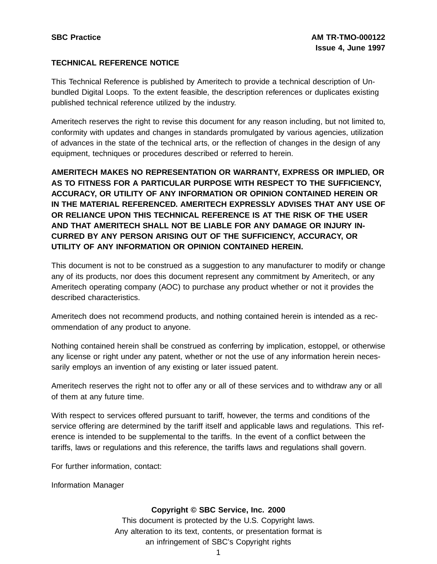### **TECHNICAL REFERENCE NOTICE**

This Technical Reference is published by Ameritech to provide a technical description of Unbundled Digital Loops. To the extent feasible, the description references or duplicates existing published technical reference utilized by the industry.

Ameritech reserves the right to revise this document for any reason including, but not limited to, conformity with updates and changes in standards promulgated by various agencies, utilization of advances in the state of the technical arts, or the reflection of changes in the design of any equipment, techniques or procedures described or referred to herein.

**AMERITECH MAKES NO REPRESENTATION OR WARRANTY, EXPRESS OR IMPLIED, OR AS TO FITNESS FOR A PARTICULAR PURPOSE WITH RESPECT TO THE SUFFICIENCY, ACCURACY, OR UTILITY OF ANY INFORMATION OR OPINION CONTAINED HEREIN OR IN THE MATERIAL REFERENCED. AMERITECH EXPRESSLY ADVISES THAT ANY USE OF OR RELIANCE UPON THIS TECHNICAL REFERENCE IS AT THE RISK OF THE USER AND THAT AMERITECH SHALL NOT BE LIABLE FOR ANY DAMAGE OR INJURY IN-CURRED BY ANY PERSON ARISING OUT OF THE SUFFICIENCY, ACCURACY, OR UTILITY OF ANY INFORMATION OR OPINION CONTAINED HEREIN.**

This document is not to be construed as a suggestion to any manufacturer to modify or change any of its products, nor does this document represent any commitment by Ameritech, or any Ameritech operating company (AOC) to purchase any product whether or not it provides the described characteristics.

Ameritech does not recommend products, and nothing contained herein is intended as a recommendation of any product to anyone.

Nothing contained herein shall be construed as conferring by implication, estoppel, or otherwise any license or right under any patent, whether or not the use of any information herein necessarily employs an invention of any existing or later issued patent.

Ameritech reserves the right not to offer any or all of these services and to withdraw any or all of them at any future time.

With respect to services offered pursuant to tariff, however, the terms and conditions of the service offering are determined by the tariff itself and applicable laws and regulations. This reference is intended to be supplemental to the tariffs. In the event of a conflict between the tariffs, laws or regulations and this reference, the tariffs laws and regulations shall govern.

For further information, contact:

Information Manager

#### **Copyright © SBC Service, Inc. 2000**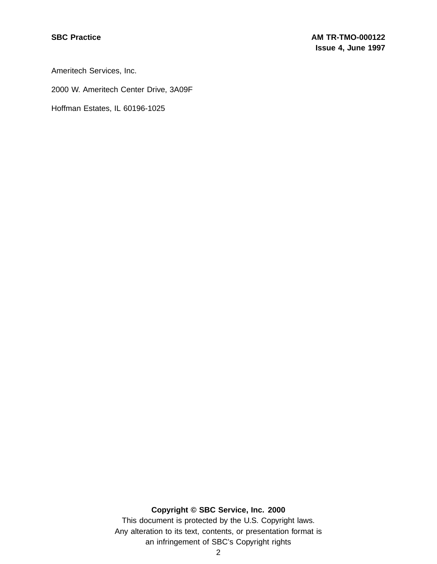Ameritech Services, Inc.

2000 W. Ameritech Center Drive, 3A09F

Hoffman Estates, IL 60196-1025

# **Copyright © SBC Service, Inc. 2000**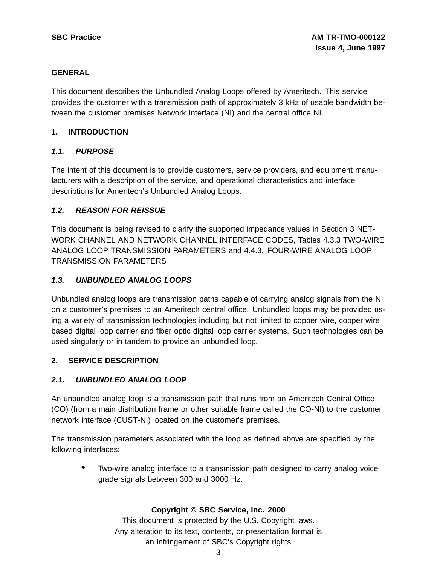#### **GENERAL**

This document describes the Unbundled Analog Loops offered by Ameritech. This service provides the customer with a transmission path of approximately 3 kHz of usable bandwidth between the customer premises Network Interface (NI) and the central office NI.

#### **1. INTRODUCTION**

# **1.1. PURPOSE**

The intent of this document is to provide customers, service providers, and equipment manufacturers with a description of the service, and operational characteristics and interface descriptions for Ameritech's Unbundled Analog Loops.

# **1.2. REASON FOR REISSUE**

This document is being revised to clarify the supported impedance values in Section 3 NET-WORK CHANNEL AND NETWORK CHANNEL INTERFACE CODES, Tables 4.3.3 TWO-WIRE ANALOG LOOP TRANSMISSION PARAMETERS and 4.4.3. FOUR-WIRE ANALOG LOOP TRANSMISSION PARAMETERS

# **1.3. UNBUNDLED ANALOG LOOPS**

Unbundled analog loops are transmission paths capable of carrying analog signals from the NI on a customer's premises to an Ameritech central office. Unbundled loops may be provided using a variety of transmission technologies including but not limited to copper wire, copper wire based digital loop carrier and fiber optic digital loop carrier systems. Such technologies can be used singularly or in tandem to provide an unbundled loop.

#### **2. SERVICE DESCRIPTION**

# **2.1. UNBUNDLED ANALOG LOOP**

An unbundled analog loop is a transmission path that runs from an Ameritech Central Office (CO) (from a main distribution frame or other suitable frame called the CO-NI) to the customer network interface (CUST-NI) located on the customer's premises.

The transmission parameters associated with the loop as defined above are specified by the following interfaces:

• Two-wire analog interface to <sup>a</sup> transmission path designed to carry analog voice grade signals between 300 and 3000 Hz.

#### **Copyright © SBC Service, Inc. 2000**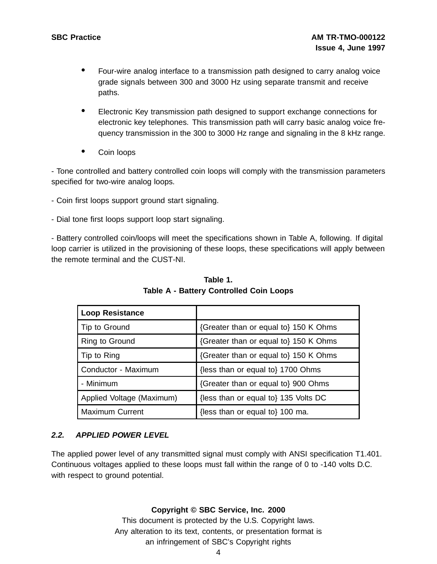- Four-wire analog interface to <sup>a</sup> transmission path designed to carry analog voice grade signals between 300 and 3000 Hz using separate transmit and receive paths.
- Electronic Key transmission path designed to support exchange connections for electronic key telephones. This transmission path will carry basic analog voice frequency transmission in the 300 to 3000 Hz range and signaling in the 8 kHz range.
- Coin loops

- Tone controlled and battery controlled coin loops will comply with the transmission parameters specified for two-wire analog loops.

- Coin first loops support ground start signaling.
- Dial tone first loops support loop start signaling.

- Battery controlled coin/loops will meet the specifications shown in Table A, following. If digital loop carrier is utilized in the provisioning of these loops, these specifications will apply between the remote terminal and the CUST-NI.

| <b>Loop Resistance</b>    |                                       |
|---------------------------|---------------------------------------|
| Tip to Ground             | {Greater than or equal to} 150 K Ohms |
| Ring to Ground            | {Greater than or equal to} 150 K Ohms |
| Tip to Ring               | {Greater than or equal to} 150 K Ohms |
| Conductor - Maximum       | {less than or equal to} 1700 Ohms     |
| - Minimum                 | {Greater than or equal to} 900 Ohms   |
| Applied Voltage (Maximum) | {less than or equal to} 135 Volts DC  |
| <b>Maximum Current</b>    | {less than or equal to} 100 ma.       |

**Table 1. Table A - Battery Controlled Coin Loops**

# **2.2. APPLIED POWER LEVEL**

The applied power level of any transmitted signal must comply with ANSI specification T1.401. Continuous voltages applied to these loops must fall within the range of 0 to -140 volts D.C. with respect to ground potential.

#### **Copyright © SBC Service, Inc. 2000**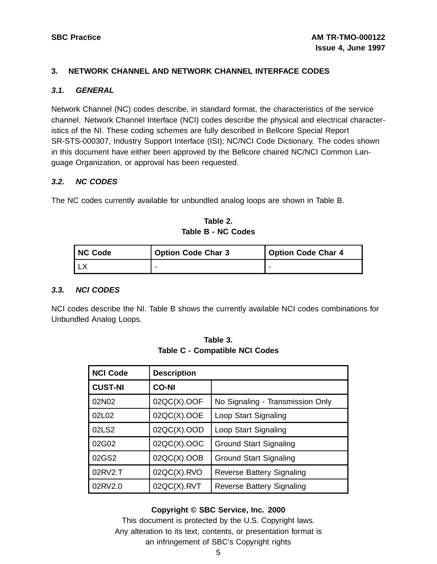#### **3. NETWORK CHANNEL AND NETWORK CHANNEL INTERFACE CODES**

#### **3.1. GENERAL**

Network Channel (NC) codes describe, in standard format, the characteristics of the service channel. Network Channel Interface (NCI) codes describe the physical and electrical characteristics of the NI. These coding schemes are fully described in Bellcore Special Report SR-STS-000307, Industry Support Interface (ISI); NC/NCI Code Dictionary. The codes shown in this document have either been approved by the Bellcore chaired NC/NCI Common Language Organization, or approval has been requested.

#### **3.2. NC CODES**

The NC codes currently available for unbundled analog loops are shown in Table B.

**Table 2. Table B - NC Codes**

| I NC Code | <b>Option Code Char 3</b> | <b>Option Code Char 4</b> |  |
|-----------|---------------------------|---------------------------|--|
|           |                           |                           |  |

#### **3.3. NCI CODES**

NCI codes describe the NI. Table B shows the currently available NCI codes combinations for Unbundled Analog Loops.

| <b>NCI Code</b> | <b>Description</b> |                                  |
|-----------------|--------------------|----------------------------------|
| <b>CUST-NI</b>  | <b>CO-NI</b>       |                                  |
| 02N02           | $02QC(X)$ .OOF     | No Signaling - Transmission Only |
| 02L02           | 02QC(X).OOE        | Loop Start Signaling             |
| 02LS2           | 02QC(X).OOD        | Loop Start Signaling             |
| 02G02           | 02QC(X).OOC        | <b>Ground Start Signaling</b>    |
| 02GS2           | 02QC(X).OOB        | <b>Ground Start Signaling</b>    |
| 02RV2.T         | $02QC(X)$ .RVO     | <b>Reverse Battery Signaling</b> |
| 02RV2.0         | $02QC(X)$ .RVT     | <b>Reverse Battery Signaling</b> |

**Table 3. Table C - Compatible NCI Codes**

#### **Copyright © SBC Service, Inc. 2000**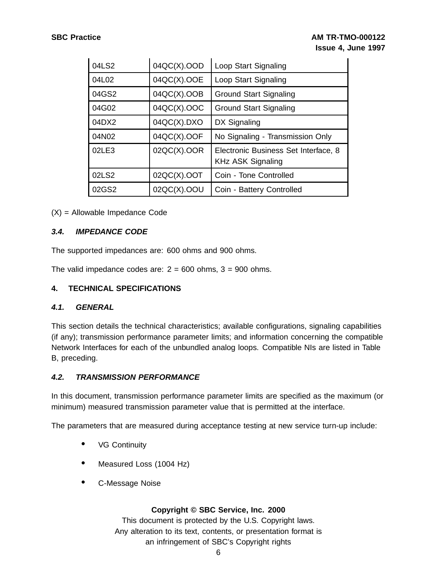| 04LS2 | 04QC(X).OOD    | Loop Start Signaling                                             |
|-------|----------------|------------------------------------------------------------------|
| 04L02 | 04QC(X).OOE    | Loop Start Signaling                                             |
| 04GS2 | 04QC(X).OOB    | <b>Ground Start Signaling</b>                                    |
| 04G02 | 04QC(X).OOC    | <b>Ground Start Signaling</b>                                    |
| 04DX2 | $04QC(X)$ .DXO | DX Signaling                                                     |
| 04N02 | $04QC(X)$ .OOF | No Signaling - Transmission Only                                 |
| 02LE3 | 02QC(X).OOR    | Electronic Business Set Interface, 8<br><b>KHz ASK Signaling</b> |
| 02LS2 | $02QC(X)$ .OOT | Coin - Tone Controlled                                           |
| 02GS2 | 02QC(X).OOU    | Coin - Battery Controlled                                        |

(X) = Allowable Impedance Code

#### **3.4. IMPEDANCE CODE**

The supported impedances are: 600 ohms and 900 ohms.

The valid impedance codes are:  $2 = 600$  ohms,  $3 = 900$  ohms.

#### **4. TECHNICAL SPECIFICATIONS**

#### **4.1. GENERAL**

This section details the technical characteristics; available configurations, signaling capabilities (if any); transmission performance parameter limits; and information concerning the compatible Network Interfaces for each of the unbundled analog loops. Compatible NIs are listed in Table B, preceding.

#### **4.2. TRANSMISSION PERFORMANCE**

In this document, transmission performance parameter limits are specified as the maximum (or minimum) measured transmission parameter value that is permitted at the interface.

The parameters that are measured during acceptance testing at new service turn-up include:

- VG Continuity
- Measured Loss (1004 Hz)
- C-Message Noise

#### **Copyright © SBC Service, Inc. 2000**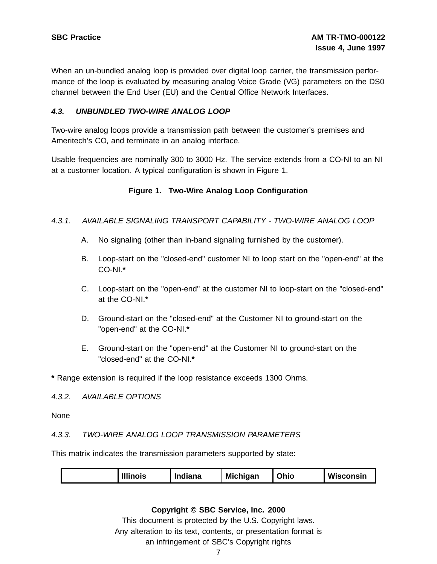When an un-bundled analog loop is provided over digital loop carrier, the transmission performance of the loop is evaluated by measuring analog Voice Grade (VG) parameters on the DS0 channel between the End User (EU) and the Central Office Network Interfaces.

#### **4.3. UNBUNDLED TWO-WIRE ANALOG LOOP**

Two-wire analog loops provide a transmission path between the customer's premises and Ameritech's CO, and terminate in an analog interface.

Usable frequencies are nominally 300 to 3000 Hz. The service extends from a CO-NI to an NI at a customer location. A typical configuration is shown in Figure 1.

#### **Figure 1. Two-Wire Analog Loop Configuration**

#### 4.3.1. AVAILABLE SIGNALING TRANSPORT CAPABILITY - TWO-WIRE ANALOG LOOP

- A. No signaling (other than in-band signaling furnished by the customer).
- B. Loop-start on the "closed-end" customer NI to loop start on the "open-end" at the CO-NI.**\***
- C. Loop-start on the "open-end" at the customer NI to loop-start on the "closed-end" at the CO-NI.**\***
- D. Ground-start on the "closed-end" at the Customer NI to ground-start on the "open-end" at the CO-NI.**\***
- E. Ground-start on the "open-end" at the Customer NI to ground-start on the "closed-end" at the CO-NI.**\***

**\*** Range extension is required if the loop resistance exceeds 1300 Ohms.

4.3.2. AVAILABLE OPTIONS

None

#### 4.3.3. TWO-WIRE ANALOG LOOP TRANSMISSION PARAMETERS

This matrix indicates the transmission parameters supported by state:

| <b>Illinois</b><br><b>Michigan</b><br>Indiana | Ohio | Wisconsin |
|-----------------------------------------------|------|-----------|
|-----------------------------------------------|------|-----------|

#### **Copyright © SBC Service, Inc. 2000**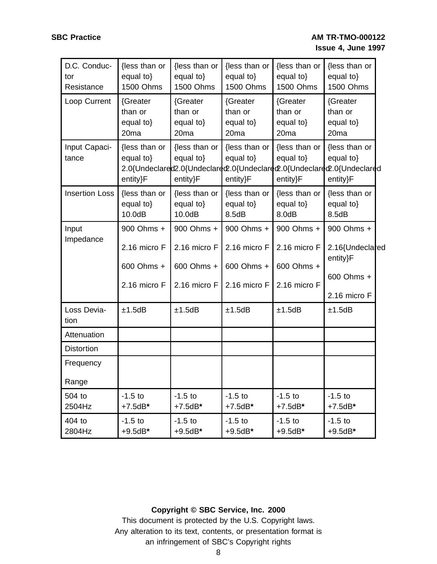| D.C. Conduc-<br>tor<br>Resistance | {less than or<br>equal to}<br>1500 Ohms              | {less than or<br>equal to}<br>1500 Ohms              | {less than or<br>equal to}<br>1500 Ohms              | {less than or<br>equal to}<br>1500 Ohms              | {less than or<br>equal to}<br>1500 Ohms                                                                          |
|-----------------------------------|------------------------------------------------------|------------------------------------------------------|------------------------------------------------------|------------------------------------------------------|------------------------------------------------------------------------------------------------------------------|
| Loop Current                      | {Greater<br>than or<br>equal to}<br>20 <sub>ma</sub> | {Greater<br>than or<br>equal to}<br>20 <sub>ma</sub> | {Greater<br>than or<br>equal to}<br>20 <sub>ma</sub> | {Greater<br>than or<br>equal to}<br>20 <sub>ma</sub> | {Greater<br>than or<br>equal to $\}$<br>20 <sub>ma</sub>                                                         |
| Input Capaci-<br>tance            | {less than or<br>equal to}<br>entity}F               | {less than or<br>equal to}<br>entity}F               | {less than or<br>equal to}<br>entity}F               | {less than or<br>equal to}<br>entity}F               | {less than or<br>equal to}<br>2.0{Undeclared2.0{Undeclared2.0{Undeclared2.0{Undeclared2.0{Undeclared<br>entity}F |
| <b>Insertion Loss</b>             | {less than or<br>equal to}<br>10.0dB                 | {less than or<br>equal to}<br>10.0dB                 | {less than or<br>equal to}<br>8.5dB                  | {less than or<br>equal to}<br>8.0dB                  | {less than or<br>equal to}<br>8.5dB                                                                              |
| Input                             | 900 Ohms +                                           | 900 Ohms +                                           | 900 Ohms +                                           | 900 Ohms +                                           | 900 Ohms +                                                                                                       |
| Impedance                         | 2.16 micro F                                         | 2.16 micro F                                         | 2.16 micro F                                         | 2.16 micro F                                         | 2.16{Undeclared<br>entity}F                                                                                      |
|                                   | 600 Ohms +                                           | 600 Ohms +                                           | 600 Ohms +                                           | 600 Ohms +                                           |                                                                                                                  |
|                                   | 2.16 micro F                                         | 2.16 micro F                                         | 2.16 micro F                                         | 2.16 micro F                                         | 600 Ohms +<br>2.16 micro F                                                                                       |
| Loss Devia-<br>tion               | ±1.5dB                                               | ±1.5dB                                               | ±1.5dB                                               | ±1.5dB                                               | ±1.5dB                                                                                                           |
| Attenuation                       |                                                      |                                                      |                                                      |                                                      |                                                                                                                  |
| <b>Distortion</b>                 |                                                      |                                                      |                                                      |                                                      |                                                                                                                  |
| Frequency                         |                                                      |                                                      |                                                      |                                                      |                                                                                                                  |
| Range                             |                                                      |                                                      |                                                      |                                                      |                                                                                                                  |
| 504 to<br>2504Hz                  | $-1.5$ to<br>$+7.5dB*$                               | $-1.5$ to<br>$+7.5dB*$                               | $-1.5$ to<br>$+7.5dB*$                               | $-1.5$ to<br>$+7.5dB*$                               | $-1.5$ to<br>$+7.5dB*$                                                                                           |
| 404 to<br>2804Hz                  | $-1.5$ to<br>$+9.5dB*$                               | $-1.5$ to<br>$+9.5dB*$                               | $-1.5$ to<br>$+9.5dB*$                               | $-1.5$ to<br>$+9.5dB*$                               | $-1.5$ to<br>$+9.5dB*$                                                                                           |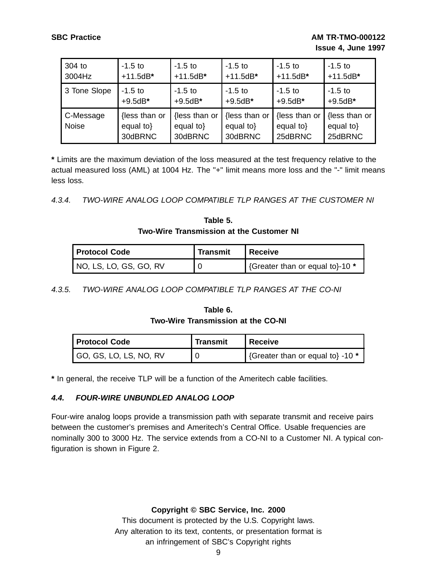| 304 to                    | $-1.5$ to                                 | $-1.5$ to                                 | $-1.5$ to                             | $-1.5$ to                            | $-1.5$ to                             |
|---------------------------|-------------------------------------------|-------------------------------------------|---------------------------------------|--------------------------------------|---------------------------------------|
| 3004Hz                    | $+11.5dB*$                                | $+11.5dB*$                                | $+11.5dB*$                            | $+11.5dB*$                           | $+11.5dB*$                            |
| 3 Tone Slope              | $-1.5$ to                                 | $-1.5$ to                                 | $-1.5$ to                             | $-1.5$ to                            | $-1.5$ to                             |
|                           | $+9.5dB*$                                 | $+9.5dB*$                                 | $+9.5dB*$                             | $+9.5dB*$                            | $+9.5dB*$                             |
| C-Message<br><b>Noise</b> | {less than or<br>equal to $\}$<br>30dBRNC | {less than or<br>equal to $\}$<br>30dBRNC | {less than or<br>equal to}<br>30dBRNC | {less than or<br>equal to<br>25dBRNC | {less than or<br>equal to}<br>25dBRNC |

**\*** Limits are the maximum deviation of the loss measured at the test frequency relative to the actual measured loss (AML) at 1004 Hz. The "+" limit means more loss and the "-" limit means less loss.

4.3.4. TWO-WIRE ANALOG LOOP COMPATIBLE TLP RANGES AT THE CUSTOMER NI

| Table 5.                                        |  |
|-------------------------------------------------|--|
| <b>Two-Wire Transmission at the Customer NI</b> |  |

| <b>Protocol Code</b>   | <b>Transmit</b> | <b>Receive</b>                  |
|------------------------|-----------------|---------------------------------|
| NO, LS, LO, GS, GO, RV |                 | {Greater than or equal to}-10 * |

4.3.5. TWO-WIRE ANALOG LOOP COMPATIBLE TLP RANGES AT THE CO-NI

### **Table 6. Two-Wire Transmission at the CO-NI**

| <b>Protocol Code</b>          | <b>Transmit</b> | <b>Receive</b>                   |
|-------------------------------|-----------------|----------------------------------|
| $\mid$ GO, GS, LO, LS, NO, RV |                 | {Greater than or equal to} -10 * |

**\*** In general, the receive TLP will be a function of the Ameritech cable facilities.

# **4.4. FOUR-WIRE UNBUNDLED ANALOG LOOP**

Four-wire analog loops provide a transmission path with separate transmit and receive pairs between the customer's premises and Ameritech's Central Office. Usable frequencies are nominally 300 to 3000 Hz. The service extends from a CO-NI to a Customer NI. A typical configuration is shown in Figure 2.

**Copyright © SBC Service, Inc. 2000**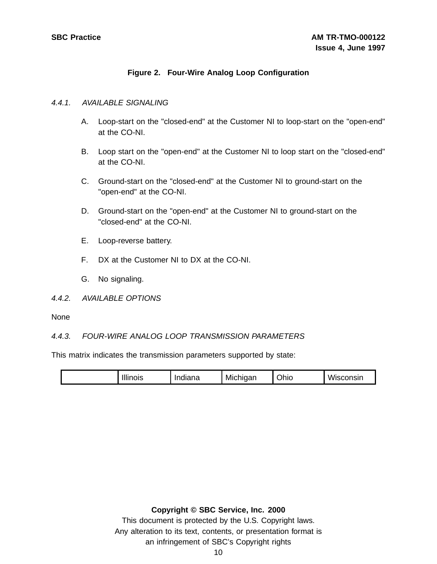# **Figure 2. Four-Wire Analog Loop Configuration**

#### 4.4.1. AVAILABLE SIGNALING

- A. Loop-start on the "closed-end" at the Customer NI to loop-start on the "open-end" at the CO-NI.
- B. Loop start on the "open-end" at the Customer NI to loop start on the "closed-end" at the CO-NI.
- C. Ground-start on the "closed-end" at the Customer NI to ground-start on the "open-end" at the CO-NI.
- D. Ground-start on the "open-end" at the Customer NI to ground-start on the "closed-end" at the CO-NI.
- E. Loop-reverse battery.
- F. DX at the Customer NI to DX at the CO-NI.
- G. No signaling.

#### 4.4.2. AVAILABLE OPTIONS

None

# 4.4.3. FOUR-WIRE ANALOG LOOP TRANSMISSION PARAMETERS

This matrix indicates the transmission parameters supported by state:

| Wiscons <sub>u</sub><br><br><br>.<br>$\sim$<br>$-000000$<br>Indiana<br>Michigan<br><b>nois</b><br>Uhic<br>-HHI |
|----------------------------------------------------------------------------------------------------------------|
|----------------------------------------------------------------------------------------------------------------|

#### **Copyright © SBC Service, Inc. 2000**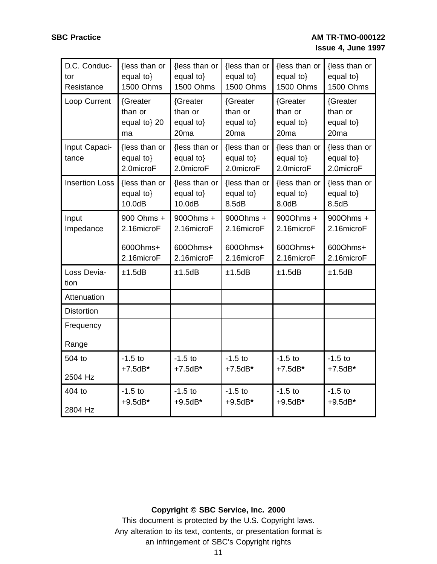| D.C. Conduc-<br>tor<br>Resistance | {less than or<br>equal to}<br><b>1500 Ohms</b>     | {less than or<br>equal to}<br><b>1500 Ohms</b>       | {less than or<br>equal to}<br><b>1500 Ohms</b>       | {less than or<br>equal to}<br><b>1500 Ohms</b>       | {less than or<br>equal to}<br><b>1500 Ohms</b>       |
|-----------------------------------|----------------------------------------------------|------------------------------------------------------|------------------------------------------------------|------------------------------------------------------|------------------------------------------------------|
| Loop Current                      | {Greater<br>than or<br>equal to} 20<br>ma          | {Greater<br>than or<br>equal to}<br>20 <sub>ma</sub> | {Greater<br>than or<br>equal to}<br>20 <sub>ma</sub> | {Greater<br>than or<br>equal to}<br>20 <sub>ma</sub> | {Greater<br>than or<br>equal to}<br>20 <sub>ma</sub> |
| Input Capaci-<br>tance            | {less than or<br>equal to}<br>2.0microF            | {less than or<br>equal to}<br>2.0microF              | {less than or<br>equal to}<br>2.0microF              | {less than or<br>equal to}<br>2.0microF              | {less than or<br>equal to}<br>2.0microF              |
| <b>Insertion Loss</b>             | {less than or<br>equal to}<br>10.0dB               | {less than or<br>equal to}<br>10.0dB                 | {less than or<br>equal to}<br>8.5dB                  | {less than or<br>equal to}<br>8.0dB                  | {less than or<br>equal to}<br>8.5dB                  |
| Input<br>Impedance                | 900 Ohms +<br>2.16microF<br>600Ohms+<br>2.16microF | 900Ohms +<br>2.16microF<br>600Ohms+<br>2.16microF    | 900Ohms +<br>2.16microF<br>600Ohms+<br>2.16microF    | 900Ohms +<br>2.16microF<br>600Ohms+<br>2.16microF    | 900Ohms +<br>2.16microF<br>600Ohms+<br>2.16microF    |
| Loss Devia-<br>tion               | ±1.5dB                                             | ±1.5dB                                               | ±1.5dB                                               | ±1.5dB                                               | ±1.5dB                                               |
| Attenuation                       |                                                    |                                                      |                                                      |                                                      |                                                      |
| <b>Distortion</b>                 |                                                    |                                                      |                                                      |                                                      |                                                      |
| Frequency<br>Range                |                                                    |                                                      |                                                      |                                                      |                                                      |
| 504 to<br>2504 Hz                 | $-1.5$ to<br>$+7.5dB*$                             | $-1.5$ to<br>$+7.5dB*$                               | $-1.5$ to<br>$+7.5dB*$                               | $-1.5$ to<br>$+7.5dB*$                               | $-1.5$ to<br>$+7.5dB*$                               |
| 404 to<br>2804 Hz                 | $-1.5$ to<br>$+9.5dB*$                             | $-1.5$ to<br>$+9.5dB*$                               | $-1.5$ to<br>$+9.5dB*$                               | $-1.5$ to<br>$+9.5dB*$                               | $-1.5$ to<br>$+9.5dB*$                               |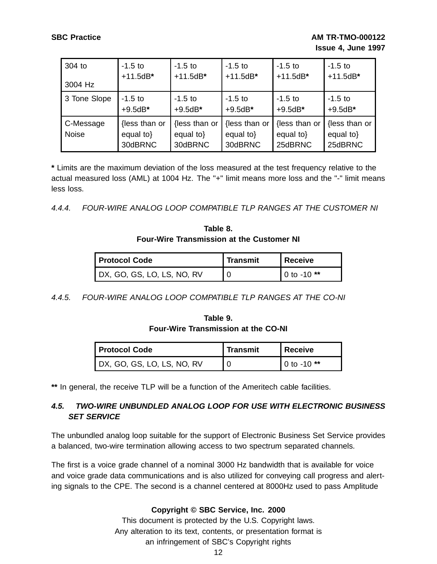| 304 to                    | $-1.5$ to                             | $-1.5$ to                                 | $-1.5$ to                                 | $-1.5$ to                            | $-1.5$ to                             |
|---------------------------|---------------------------------------|-------------------------------------------|-------------------------------------------|--------------------------------------|---------------------------------------|
| 3004 Hz                   | $+11.5dB*$                            | $+11.5dB*$                                | $+11.5dB*$                                | $+11.5dB*$                           | $+11.5dB*$                            |
| 3 Tone Slope              | $-1.5$ to                             | $-1.5$ to                                 | $-1.5$ to                                 | $-1.5$ to                            | $-1.5$ to                             |
|                           | $+9.5dB*$                             | $+9.5dB*$                                 | $+9.5dB*$                                 | $+9.5dB*$                            | $+9.5dB*$                             |
| C-Message<br><b>Noise</b> | {less than or<br>equal to}<br>30dBRNC | {less than or<br>equal to $\}$<br>30dBRNC | {less than or<br>equal to $\}$<br>30dBRNC | {less than or<br>equal to<br>25dBRNC | {less than or<br>equal to}<br>25dBRNC |

**\*** Limits are the maximum deviation of the loss measured at the test frequency relative to the actual measured loss (AML) at 1004 Hz. The "+" limit means more loss and the "-" limit means less loss.

#### 4.4.4. FOUR-WIRE ANALOG LOOP COMPATIBLE TLP RANGES AT THE CUSTOMER NI

# **Table 8. Four-Wire Transmission at the Customer NI**

| <b>Protocol Code</b>       | <b>Transmit</b> | l Receive     |
|----------------------------|-----------------|---------------|
| DX, GO, GS, LO, LS, NO, RV |                 | $0$ to -10 ** |

4.4.5. FOUR-WIRE ANALOG LOOP COMPATIBLE TLP RANGES AT THE CO-NI

# **Table 9. Four-Wire Transmission at the CO-NI**

| <b>Protocol Code</b>       | <b>Transmit</b> | <b>Receive</b> |
|----------------------------|-----------------|----------------|
| DX, GO, GS, LO, LS, NO, RV |                 | 0 to -10 $**$  |

**\*\*** In general, the receive TLP will be a function of the Ameritech cable facilities.

# **4.5. TWO-WIRE UNBUNDLED ANALOG LOOP FOR USE WITH ELECTRONIC BUSINESS SET SERVICE**

The unbundled analog loop suitable for the support of Electronic Business Set Service provides a balanced, two-wire termination allowing access to two spectrum separated channels.

The first is a voice grade channel of a nominal 3000 Hz bandwidth that is available for voice and voice grade data communications and is also utilized for conveying call progress and alerting signals to the CPE. The second is a channel centered at 8000Hz used to pass Amplitude

# **Copyright © SBC Service, Inc. 2000**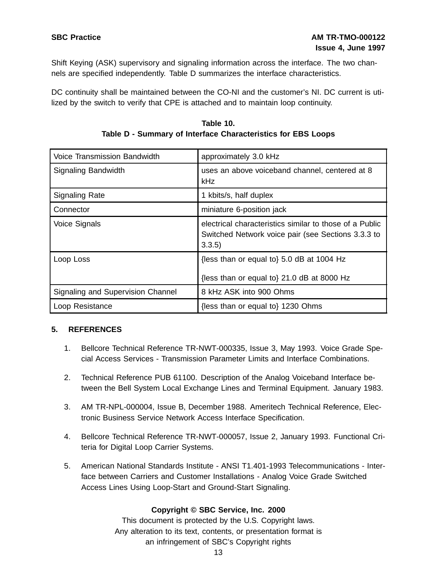Shift Keying (ASK) supervisory and signaling information across the interface. The two channels are specified independently. Table D summarizes the interface characteristics.

DC continuity shall be maintained between the CO-NI and the customer's NI. DC current is utilized by the switch to verify that CPE is attached and to maintain loop continuity.

| Voice Transmission Bandwidth      | approximately 3.0 kHz                                                                                                  |
|-----------------------------------|------------------------------------------------------------------------------------------------------------------------|
| Signaling Bandwidth               | uses an above voiceband channel, centered at 8<br><b>kHz</b>                                                           |
| <b>Signaling Rate</b>             | 1 kbits/s, half duplex                                                                                                 |
| Connector                         | miniature 6-position jack                                                                                              |
| Voice Signals                     | electrical characteristics similar to those of a Public<br>Switched Network voice pair (see Sections 3.3.3 to<br>3.3.5 |
| Loop Loss                         | {less than or equal to} 5.0 dB at 1004 Hz<br>{less than or equal to} 21.0 dB at 8000 Hz                                |
| Signaling and Supervision Channel | 8 kHz ASK into 900 Ohms                                                                                                |
| Loop Resistance                   | {less than or equal to} 1230 Ohms                                                                                      |

**Table 10. Table D - Summary of Interface Characteristics for EBS Loops**

# **5. REFERENCES**

- 1. Bellcore Technical Reference TR-NWT-000335, Issue 3, May 1993. Voice Grade Special Access Services - Transmission Parameter Limits and Interface Combinations.
- 2. Technical Reference PUB 61100. Description of the Analog Voiceband Interface between the Bell System Local Exchange Lines and Terminal Equipment. January 1983.
- 3. AM TR-NPL-000004, Issue B, December 1988. Ameritech Technical Reference, Electronic Business Service Network Access Interface Specification.
- 4. Bellcore Technical Reference TR-NWT-000057, Issue 2, January 1993. Functional Criteria for Digital Loop Carrier Systems.
- 5. American National Standards Institute ANSI T1.401-1993 Telecommunications Interface between Carriers and Customer Installations - Analog Voice Grade Switched Access Lines Using Loop-Start and Ground-Start Signaling.

# **Copyright © SBC Service, Inc. 2000**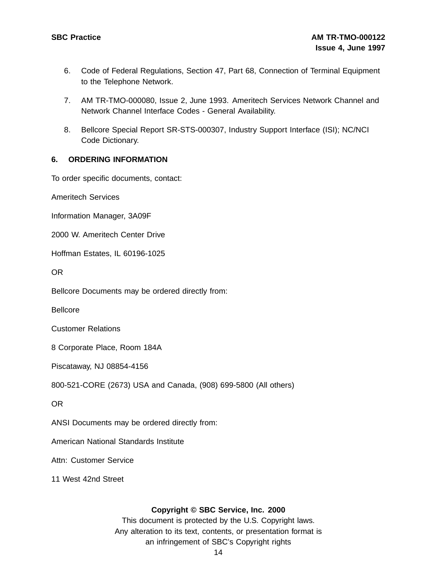- 6. Code of Federal Regulations, Section 47, Part 68, Connection of Terminal Equipment to the Telephone Network.
- 7. AM TR-TMO-000080, Issue 2, June 1993. Ameritech Services Network Channel and Network Channel Interface Codes - General Availability.
- 8. Bellcore Special Report SR-STS-000307, Industry Support Interface (ISI); NC/NCI Code Dictionary.

#### **6. ORDERING INFORMATION**

To order specific documents, contact:

Ameritech Services

Information Manager, 3A09F

2000 W. Ameritech Center Drive

Hoffman Estates, IL 60196-1025

OR

Bellcore Documents may be ordered directly from:

Bellcore

Customer Relations

8 Corporate Place, Room 184A

Piscataway, NJ 08854-4156

800-521-CORE (2673) USA and Canada, (908) 699-5800 (All others)

OR

ANSI Documents may be ordered directly from:

American National Standards Institute

Attn: Customer Service

11 West 42nd Street

#### **Copyright © SBC Service, Inc. 2000**